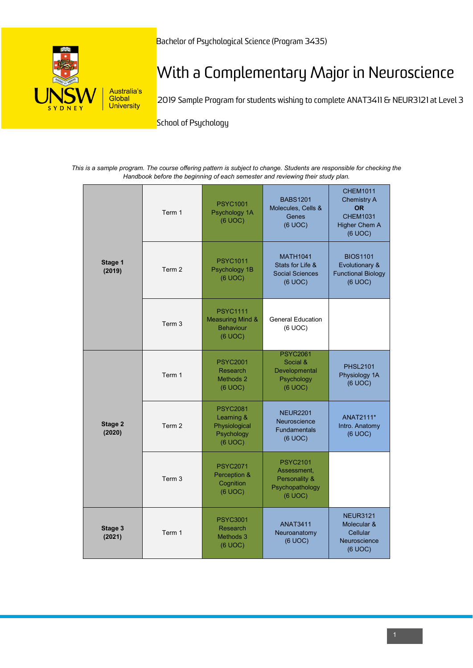

## With a Complementary Major in Neuroscience

2019 Sample Program for students wishing to complete ANAT3411 & NEUR3121 at Level 3

**School of Psychology** 

*This is a sample program. The course offering pattern is subject to change. Students are responsible for checking the Handbook before the beginning of each semester and reviewing their study plan.*

| Stage 1<br>(2019) | Term 1 | <b>PSYC1001</b><br>Psychology 1A<br>(6 UOC)                                   | <b>BABS1201</b><br>Molecules, Cells &<br>Genes<br>(6 UOC)                     | <b>CHEM1011</b><br>Chemistry A<br><b>OR</b><br><b>CHEM1031</b><br>Higher Chem A<br>(6 UOC) |
|-------------------|--------|-------------------------------------------------------------------------------|-------------------------------------------------------------------------------|--------------------------------------------------------------------------------------------|
|                   | Term 2 | <b>PSYC1011</b><br>Psychology 1B<br>(6 UOC)                                   | <b>MATH1041</b><br>Stats for Life &<br><b>Social Sciences</b><br>(6 UOC)      | <b>BIOS1101</b><br>Evolutionary &<br><b>Functional Biology</b><br>(6 UOC)                  |
|                   | Term 3 | <b>PSYC1111</b><br><b>Measuring Mind &amp;</b><br><b>Behaviour</b><br>(6 UOC) | <b>General Education</b><br>(6 UOC)                                           |                                                                                            |
| Stage 2<br>(2020) | Term 1 | <b>PSYC2001</b><br>Research<br>Methods 2<br>(6 UOC)                           | <b>PSYC2061</b><br>Social &<br>Developmental<br>Psychology<br>(6 UOC)         | <b>PHSL2101</b><br>Physiology 1A<br>(6 UOC)                                                |
|                   | Term 2 | <b>PSYC2081</b><br>Learning &<br>Physiological<br>Psychology<br>(6 UOC)       | <b>NEUR2201</b><br>Neuroscience<br><b>Fundamentals</b><br>(6 UOC)             | ANAT2111*<br>Intro. Anatomy<br>(6 UOC)                                                     |
|                   | Term 3 | <b>PSYC2071</b><br>Perception &<br>Cognition<br>(6 UOC)                       | <b>PSYC2101</b><br>Assessment,<br>Personality &<br>Psychopathology<br>(6 UOC) |                                                                                            |
| Stage 3<br>(2021) | Term 1 | <b>PSYC3001</b><br>Research<br>Methods 3<br>(6 UOC)                           | <b>ANAT3411</b><br>Neuroanatomy<br>(6 UOC)                                    | <b>NEUR3121</b><br>Molecular &<br>Cellular<br>Neuroscience<br>(6 UOC)                      |